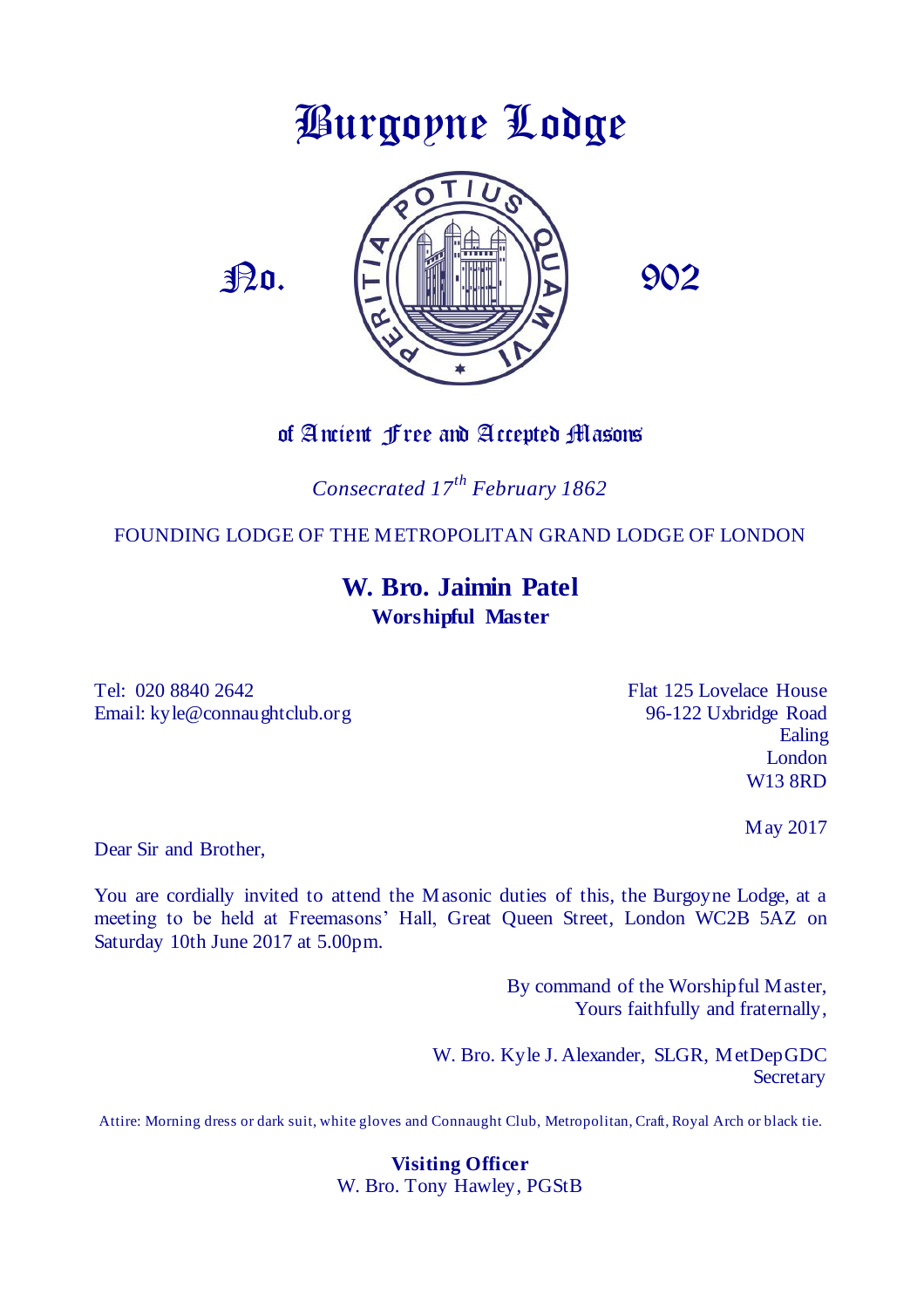# Burgoyne Lodge





#### of Ancient Free and Accepted Masons

*Consecrated 17th February 1862*

FOUNDING LODGE OF THE METROPOLITAN GRAND LODGE OF LONDON

#### **W. Bro. Jaimin Patel Worshipful Master**

Tel: 020 8840 2642 **Flat 125 Lovelace House** Email: kyle@connaughtclub.org 96-122 Uxbridge Road

Ealing London W13 8RD

May 2017

Dear Sir and Brother,

You are cordially invited to attend the Masonic duties of this, the Burgoyne Lodge, at a meeting to be held at Freemasons' Hall, Great Queen Street, London WC2B 5AZ on Saturday 10th June 2017 at 5.00pm.

> By command of the Worshipful Master, Yours faithfully and fraternally,

W. Bro. Kyle J. Alexander, SLGR, MetDepGDC **Secretary** 

Attire: Morning dress or dark suit, white gloves and Connaught Club, Metropolitan, Craft, Royal Arch or black tie.

**Visiting Officer** W. Bro. Tony Hawley, PGStB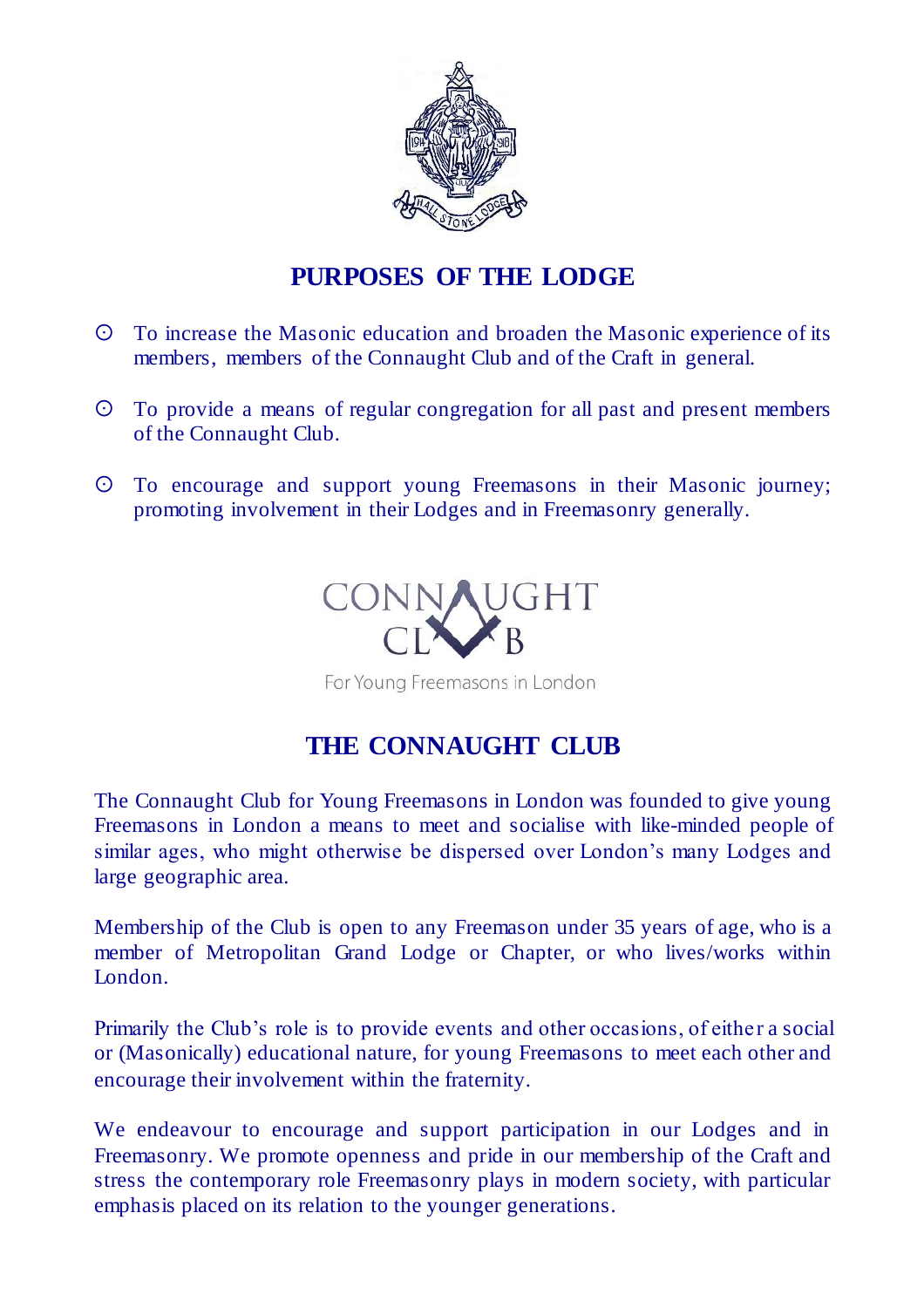

## **PURPOSES OF THE LODGE**

- To increase the Masonic education and broaden the Masonic experience of its members, members of the Connaught Club and of the Craft in general.
- To provide a means of regular congregation for all past and present members of the Connaught Club.
- To encourage and support young Freemasons in their Masonic journey; promoting involvement in their Lodges and in Freemasonry generally.



For Young Freemasons in London

### **THE CONNAUGHT CLUB**

The Connaught Club for Young Freemasons in London was founded to give young Freemasons in London a means to meet and socialise with like-minded people of similar ages, who might otherwise be dispersed over London's many Lodges and large geographic area.

Membership of the Club is open to any Freemason under 35 years of age, who is a member of Metropolitan Grand Lodge or Chapter, or who lives/works within London.

Primarily the Club's role is to provide events and other occasions, of either a social or (Masonically) educational nature, for young Freemasons to meet each other and encourage their involvement within the fraternity.

We endeavour to encourage and support participation in our Lodges and in Freemasonry. We promote openness and pride in our membership of the Craft and stress the contemporary role Freemasonry plays in modern society, with particular emphasis placed on its relation to the younger generations.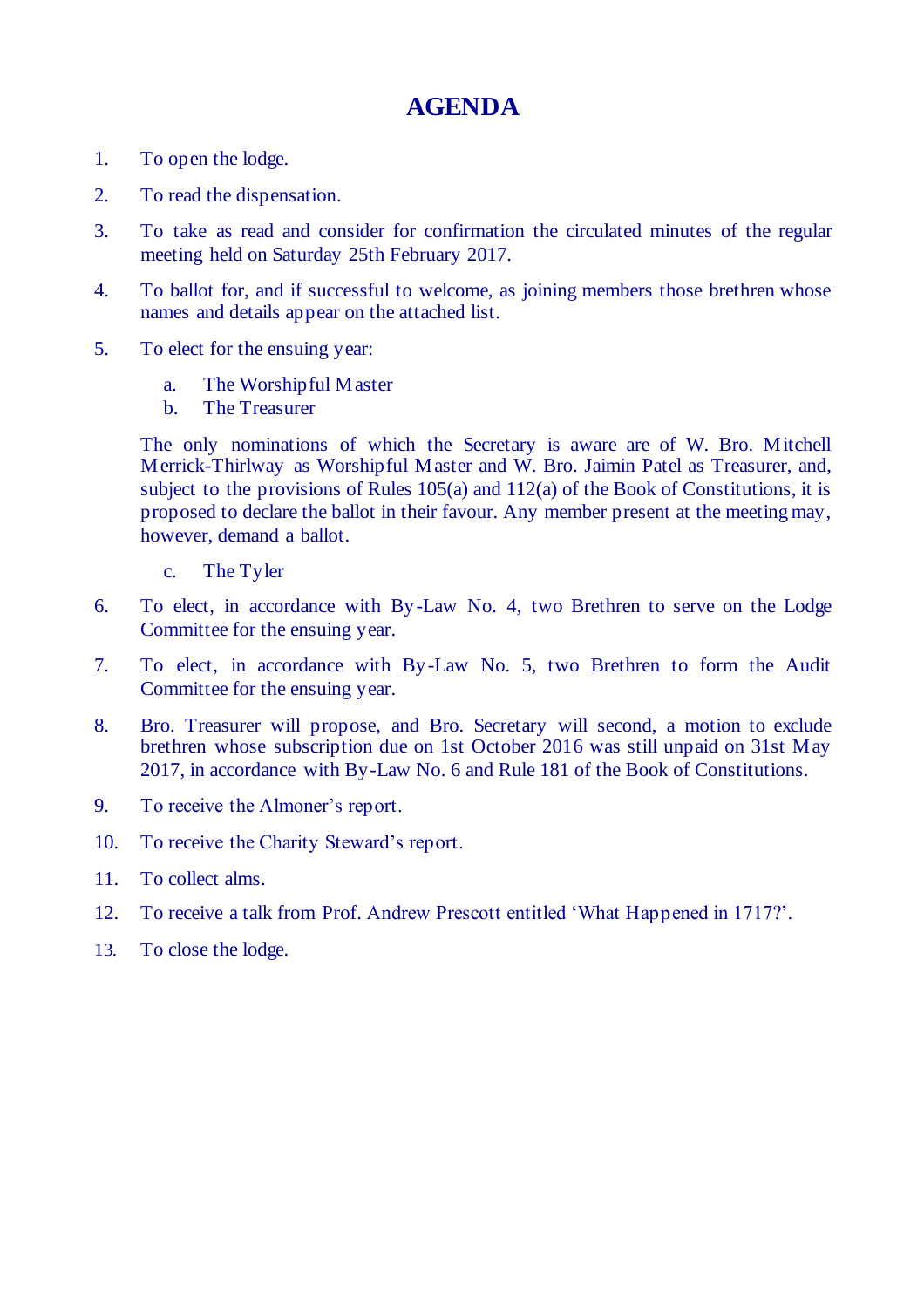## **AGENDA**

- 1. To open the lodge.
- 2. To read the dispensation.
- 3. To take as read and consider for confirmation the circulated minutes of the regular meeting held on Saturday 25th February 2017.
- 4. To ballot for, and if successful to welcome, as joining members those brethren whose names and details appear on the attached list.
- 5. To elect for the ensuing year:
	- a. The Worshipful Master
	- b. The Treasurer

The only nominations of which the Secretary is aware are of W. Bro. Mitchell Merrick-Thirlway as Worshipful Master and W. Bro. Jaimin Patel as Treasurer, and, subject to the provisions of Rules 105(a) and 112(a) of the Book of Constitutions, it is proposed to declare the ballot in their favour. Any member present at the meeting may, however, demand a ballot.

- c. The Tyler
- 6. To elect, in accordance with By-Law No. 4, two Brethren to serve on the Lodge Committee for the ensuing year.
- 7. To elect, in accordance with By-Law No. 5, two Brethren to form the Audit Committee for the ensuing year.
- 8. Bro. Treasurer will propose, and Bro. Secretary will second, a motion to exclude brethren whose subscription due on 1st October 2016 was still unpaid on 31st May 2017, in accordance with By-Law No. 6 and Rule 181 of the Book of Constitutions.
- 9. To receive the Almoner's report.
- 10. To receive the Charity Steward's report.
- 11. To collect alms.
- 12. To receive a talk from Prof. Andrew Prescott entitled 'What Happened in 1717?'.
- 13. To close the lodge.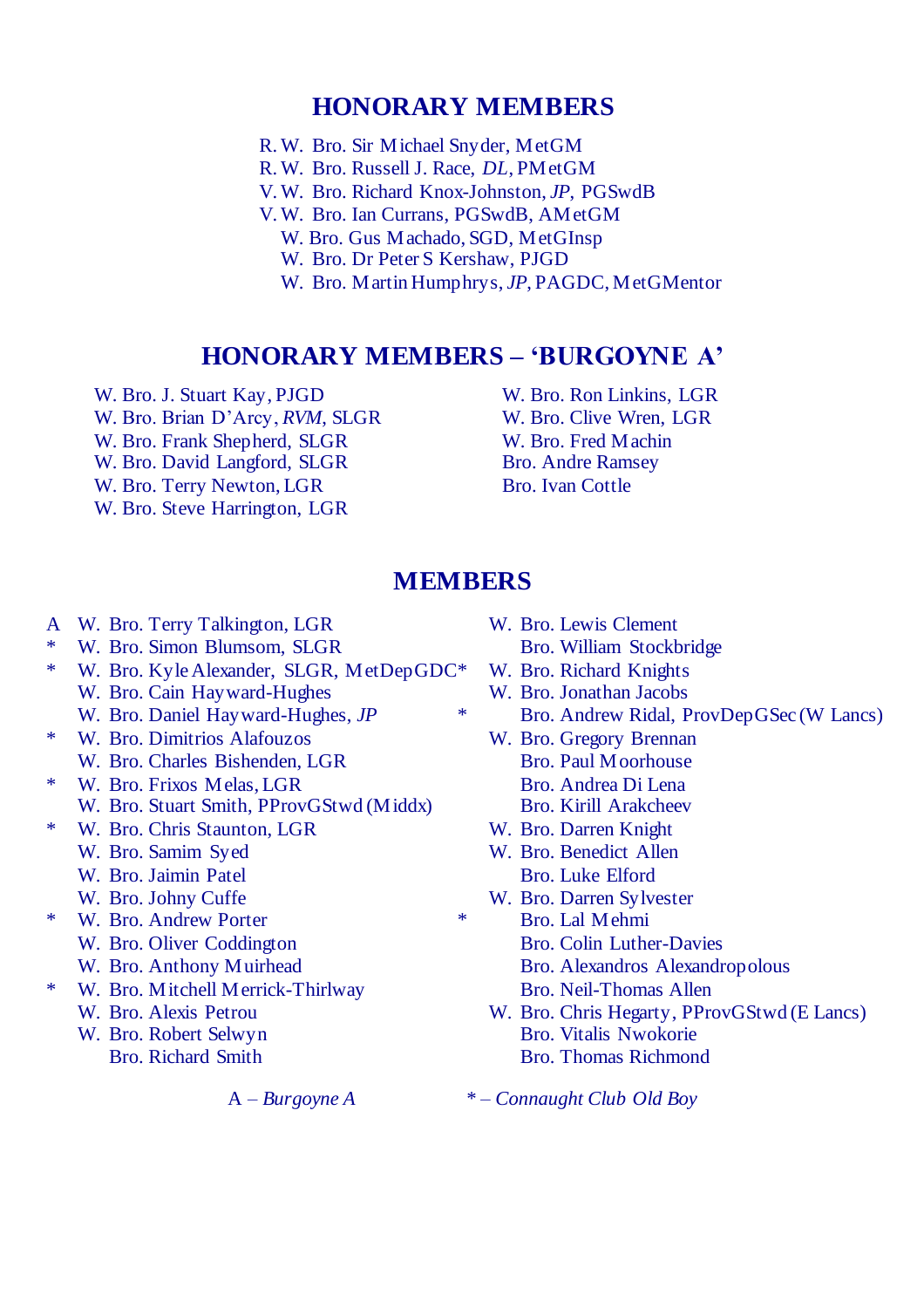#### **HONORARY MEMBERS**

- R. W. Bro. Sir Michael Snyder, MetGM
- R. W. Bro. Russell J. Race, *DL*, PMetGM
- V. W. Bro. Richard Knox-Johnston, *JP*, PGSwdB
- V. W. Bro. Ian Currans, PGSwdB, AMetGM
	- W. Bro. Gus Machado, SGD, MetGInsp
	- W. Bro. Dr Peter S Kershaw, PJGD
	- W. Bro. Martin Humphrys, *JP*, PAGDC, MetGMentor

#### **HONORARY MEMBERS – 'BURGOYNE A'**

W. Bro. J. Stuart Kay, PJGD W. Bro. Brian D'Arcy, *RVM*, SLGR W. Bro. Frank Shepherd, SLGR W. Bro. David Langford, SLGR W. Bro. Terry Newton, LGR W. Bro. Steve Harrington, LGR

W. Bro. Ron Linkins, LGR W. Bro. Clive Wren, LGR W. Bro. Fred Machin Bro. Andre Ramsey Bro. Ivan Cottle

#### **MEMBERS**

- A W. Bro. Terry Talkington, LGR
- \* W. Bro. Simon Blumsom, SLGR
- \* W. Bro. Kyle Alexander, SLGR, MetDepGDC W. Bro. Cain Hayward-Hughes
	- W. Bro. Daniel Hayward-Hughes, *JP*
- \* W. Bro. Dimitrios Alafouzos W. Bro. Charles Bishenden, LGR
- \* W. Bro. Frixos Melas, LGR
	- W. Bro. Stuart Smith, PProvGStwd (Middx)
- \* W. Bro. Chris Staunton, LGR
	- W. Bro. Samim Syed
	- W. Bro. Jaimin Patel
	- W. Bro. Johny Cuffe
- \* W. Bro. Andrew Porter
	- W. Bro. Oliver Coddington
	- W. Bro. Anthony Muirhead
- \* W. Bro. Mitchell Merrick-Thirlway
	- W. Bro. Alexis Petrou
	- W. Bro. Robert Selwyn
		- Bro. Richard Smith

- W. Bro. Lewis Clement
	- Bro. William Stockbridge
- W. Bro. Richard Knights
- W. Bro. Jonathan Jacobs
- \* Bro. Andrew Ridal, ProvDepGSec (W Lancs)
	- W. Bro. Gregory Brennan Bro. Paul Moorhouse Bro. Andrea Di Lena Bro. Kirill Arakcheev
	- W. Bro. Darren Knight
	- W. Bro. Benedict Allen Bro. Luke Elford
	- W. Bro. Darren Sylvester
- \* Bro. Lal Mehmi
	- Bro. Colin Luther-Davies
	- Bro. Alexandros Alexandropolous
	- Bro. Neil-Thomas Allen
	- W. Bro. Chris Hegarty, PProvGStwd (E Lancs) Bro. Vitalis Nwokorie Bro. Thomas Richmond

A *– Burgoyne A \* – Connaught Club Old Boy*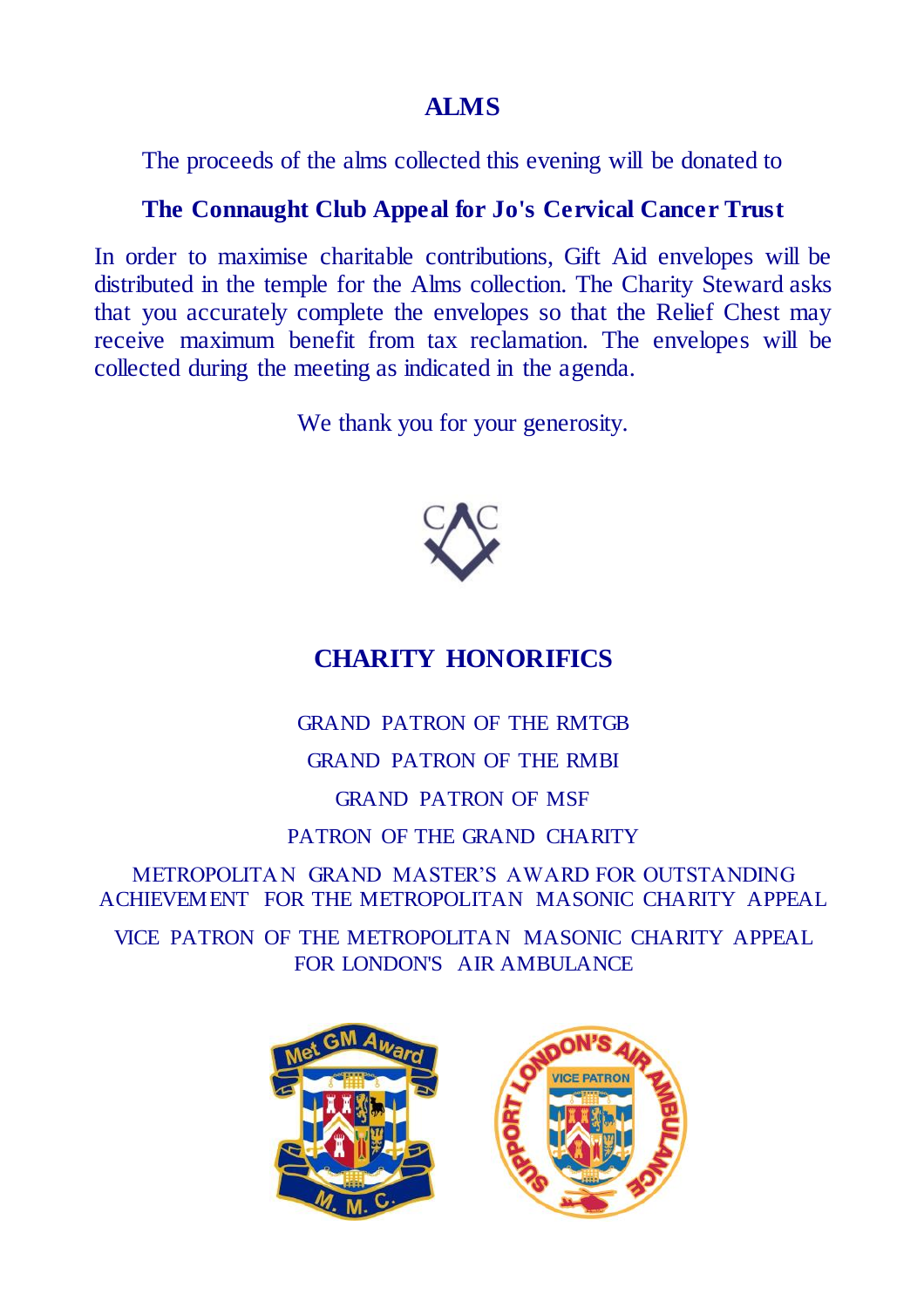#### **ALMS**

The proceeds of the alms collected this evening will be donated to

#### **The Connaught Club Appeal for Jo's Cervical Cancer Trust**

In order to maximise charitable contributions, Gift Aid envelopes will be distributed in the temple for the Alms collection. The Charity Steward asks that you accurately complete the envelopes so that the Relief Chest may receive maximum benefit from tax reclamation. The envelopes will be collected during the meeting as indicated in the agenda.

We thank you for your generosity.



## **CHARITY HONORIFICS**

GRAND PATRON OF THE RMTGB GRAND PATRON OF THE RMBI GRAND PATRON OF MSF

PATRON OF THE GRAND CHARITY

METROPOLITAN GRAND MASTER'S AWARD FOR OUTSTANDING ACHIEVEMENT FOR THE METROPOLITAN MASONIC CHARITY APPEAL

VICE PATRON OF THE METROPOLITA N MASONIC CHARITY APPEAL FOR LONDON'S AIR AMBULANCE

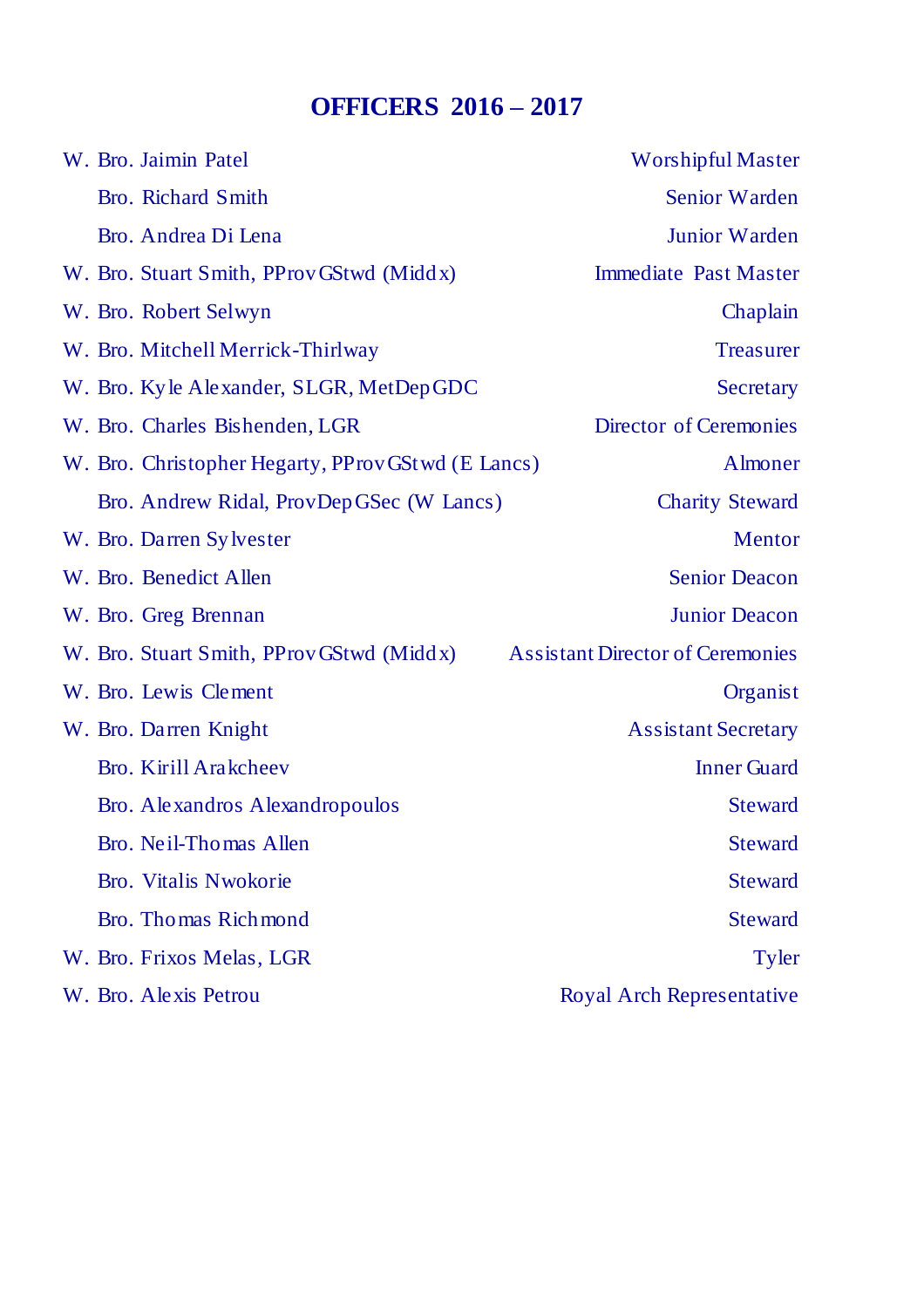## **OFFICERS 2016 – 2017**

| W. Bro. Jaimin Patel                              | <b>Worshipful Master</b>                |
|---------------------------------------------------|-----------------------------------------|
| Bro. Richard Smith                                | Senior Warden                           |
| Bro. Andrea Di Lena                               | Junior Warden                           |
| W. Bro. Stuart Smith, PProvGStwd (Middx)          | <b>Immediate Past Master</b>            |
| W. Bro. Robert Selwyn                             | Chaplain                                |
| W. Bro. Mitchell Merrick-Thirlway                 | <b>Treasurer</b>                        |
| W. Bro. Kyle Alexander, SLGR, MetDepGDC           | Secretary                               |
| W. Bro. Charles Bishenden, LGR                    | Director of Ceremonies                  |
| W. Bro. Christopher Hegarty, PProvGStwd (E Lancs) | Almoner                                 |
| Bro. Andrew Ridal, ProvDepGSec (W Lancs)          | <b>Charity Steward</b>                  |
| W. Bro. Darren Sylvester                          | Mentor                                  |
| W. Bro. Benedict Allen                            | <b>Senior Deacon</b>                    |
| W. Bro. Greg Brennan                              | <b>Junior Deacon</b>                    |
| W. Bro. Stuart Smith, PProvGStwd (Middx)          | <b>Assistant Director of Ceremonies</b> |
| W. Bro. Lewis Clement                             | Organist                                |
| W. Bro. Darren Knight                             | <b>Assistant Secretary</b>              |
| Bro. Kirill Arakcheev                             | <b>Inner Guard</b>                      |
| Bro. Alexandros Alexandropoulos                   | <b>Steward</b>                          |
| Bro. Neil-Thomas Allen                            | <b>Steward</b>                          |
| Bro. Vitalis Nwokorie                             | <b>Steward</b>                          |
| Bro. Thomas Richmond                              | <b>Steward</b>                          |
| W. Bro. Frixos Melas, LGR                         | Tyler                                   |
| W. Bro. Alexis Petrou                             | Royal Arch Representative               |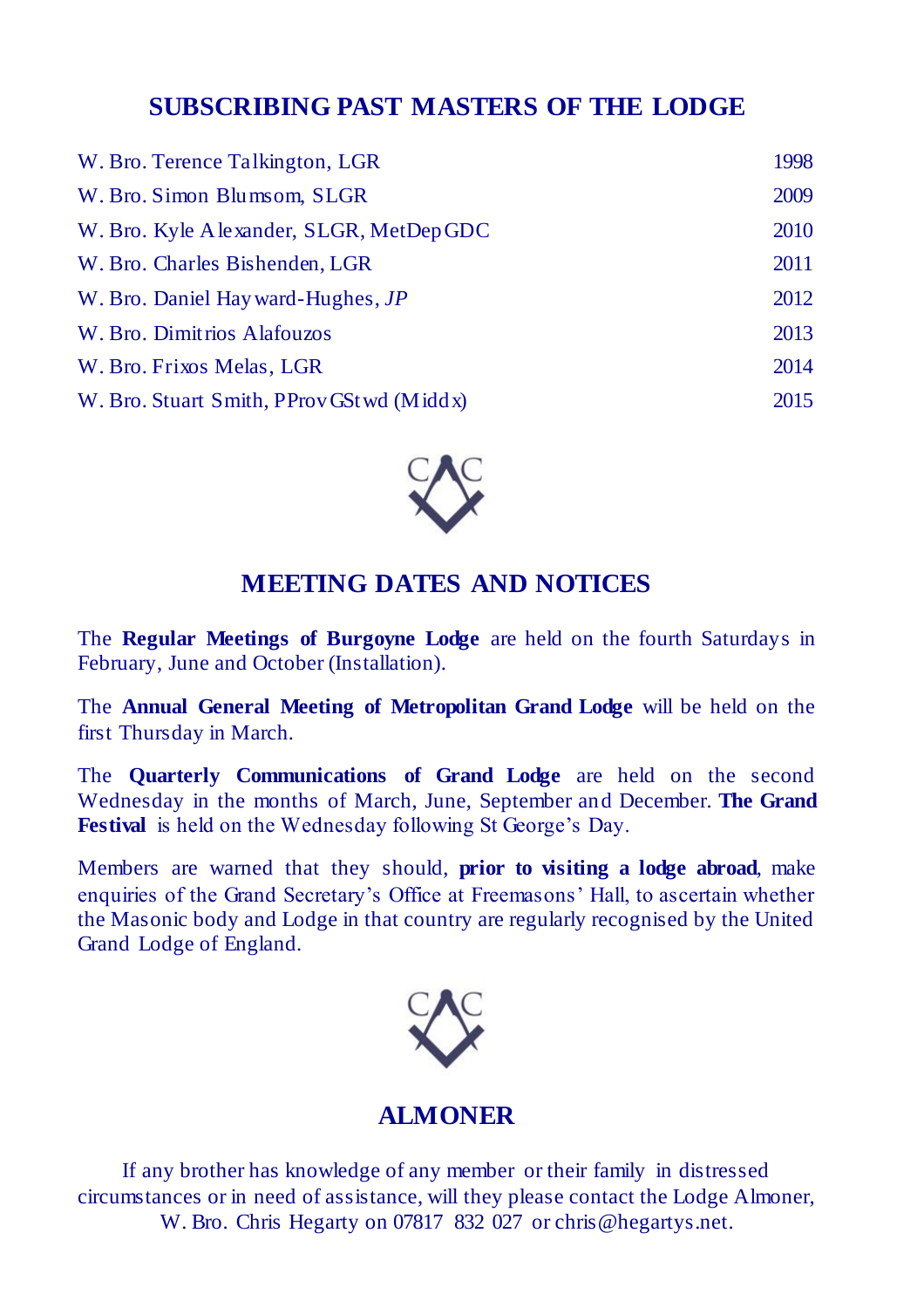#### **SUBSCRIBING PAST MASTERS OF THE LODGE**

| W. Bro. Terence Talkington, LGR           | 1998 |
|-------------------------------------------|------|
| W. Bro. Simon Blumsom, SLGR               | 2009 |
| W. Bro. Kyle A lexander, SLGR, MetDepGDC  | 2010 |
| W. Bro. Charles Bishenden, LGR            | 2011 |
| W. Bro. Daniel Hayward-Hughes, JP         | 2012 |
| W. Bro. Dimitrios Alafouzos               | 2013 |
| W. Bro. Frixos Melas, LGR                 | 2014 |
| W. Bro. Stuart Smith, PProvGSt wd (Middx) | 2015 |



### **MEETING DATES AND NOTICES**

The **Regular Meetings of Burgoyne Lodge** are held on the fourth Saturdays in February, June and October (Installation).

The **Annual General Meeting of Metropolitan Grand Lodge** will be held on the first Thursday in March.

The **Quarterly Communications of Grand Lodge** are held on the second Wednesday in the months of March, June, September and December. **The Grand Festival** is held on the Wednesday following St George's Day.

Members are warned that they should, **prior to visiting a lodge abroad**, make enquiries of the Grand Secretary's Office at Freemasons' Hall, to ascertain whether the Masonic body and Lodge in that country are regularly recognised by the United Grand Lodge of England.



#### **ALMONER**

If any brother has knowledge of any member or their family in distressed circumstances or in need of assistance, will they please contact the Lodge Almoner, W. Bro. Chris Hegarty on 07817 832 027 or chris@hegartys.net.